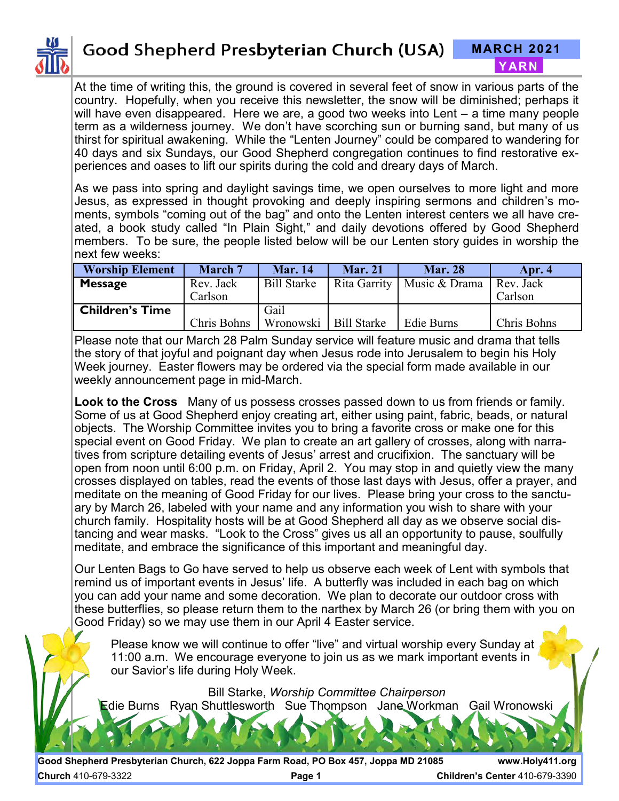

At the time of writing this, the ground is covered in several feet of snow in various parts of the country. Hopefully, when you receive this newsletter, the snow will be diminished; perhaps it will have even disappeared. Here we are, a good two weeks into Lent – a time many people term as a wilderness journey. We don't have scorching sun or burning sand, but many of us thirst for spiritual awakening. While the "Lenten Journey" could be compared to wandering for 40 days and six Sundays, our Good Shepherd congregation continues to find restorative experiences and oases to lift our spirits during the cold and dreary days of March.

As we pass into spring and daylight savings time, we open ourselves to more light and more Jesus, as expressed in thought provoking and deeply inspiring sermons and children's moments, symbols "coming out of the bag" and onto the Lenten interest centers we all have created, a book study called "In Plain Sight," and daily devotions offered by Good Shepherd members. To be sure, the people listed below will be our Lenten story guides in worship the next few weeks:

| <b>Worship Element</b> | March 7              | <b>Mar.</b> 14     | <b>Mar. 21</b>     | <b>Mar. 28</b>               | Apr. 4               |
|------------------------|----------------------|--------------------|--------------------|------------------------------|----------------------|
| <b>Message</b>         | Rev. Jack<br>Carlson | <b>Bill Starke</b> |                    | Rita Garrity   Music & Drama | Rev. Jack<br>Carlson |
| <b>Children's Time</b> | Chris Bohns          | Gail<br>Wronowski  | <b>Bill Starke</b> | Edie Burns                   | Chris Bohns          |

Please note that our March 28 Palm Sunday service will feature music and drama that tells the story of that joyful and poignant day when Jesus rode into Jerusalem to begin his Holy Week journey. Easter flowers may be ordered via the special form made available in our weekly announcement page in mid-March.

**Look to the Cross** Many of us possess crosses passed down to us from friends or family. Some of us at Good Shepherd enjoy creating art, either using paint, fabric, beads, or natural objects. The Worship Committee invites you to bring a favorite cross or make one for this special event on Good Friday. We plan to create an art gallery of crosses, along with narratives from scripture detailing events of Jesus' arrest and crucifixion. The sanctuary will be open from noon until 6:00 p.m. on Friday, April 2. You may stop in and quietly view the many crosses displayed on tables, read the events of those last days with Jesus, offer a prayer, and meditate on the meaning of Good Friday for our lives. Please bring your cross to the sanctuary by March 26, labeled with your name and any information you wish to share with your church family. Hospitality hosts will be at Good Shepherd all day as we observe social distancing and wear masks. "Look to the Cross" gives us all an opportunity to pause, soulfully meditate, and embrace the significance of this important and meaningful day.

Our Lenten Bags to Go have served to help us observe each week of Lent with symbols that remind us of important events in Jesus' life. A butterfly was included in each bag on which you can add your name and some decoration. We plan to decorate our outdoor cross with these butterflies, so please return them to the narthex by March 26 (or bring them with you on Good Friday) so we may use them in our April 4 Easter service.

Please know we will continue to offer "live" and virtual worship every Sunday at 11:00 a.m. We encourage everyone to join us as we mark important events in our Savior's life during Holy Week.

Bill Starke, *Worship Committee Chairperson*

Edie Burns Ryan Shuttlesworth Sue Thompson Jane Workman Gail Wronowski

**Good Shepherd Presbyterian Church, 622 Joppa Farm Road, PO Box 457, Joppa MD 21085 www.Holy411.org Church** 410-679-3322 **Page 1 Children's Center** 410-679-3390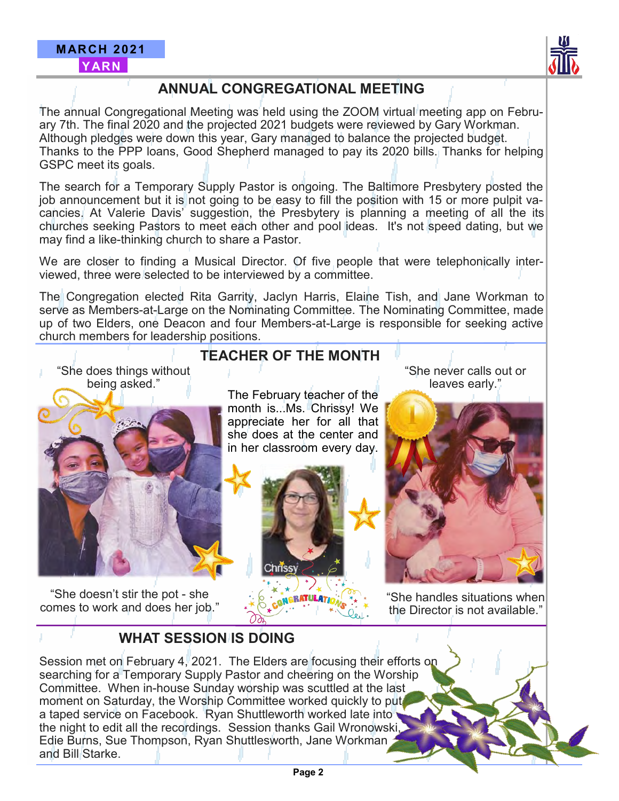

## **ANNUAL CONGREGATIONAL MEETING**

The annual Congregational Meeting was held using the ZOOM virtual meeting app on February 7th. The final 2020 and the projected 2021 budgets were reviewed by Gary Workman. Although pledges were down this year, Gary managed to balance the projected budget. Thanks to the PPP loans, Good Shepherd managed to pay its 2020 bills. Thanks for helping GSPC meet its goals.

The search for a Temporary Supply Pastor is ongoing. The Baltimore Presbytery posted the job announcement but it is not going to be easy to fill the position with 15 or more pulpit vacancies. At Valerie Davis' suggestion, the Presbytery is planning a meeting of all the its churches seeking Pastors to meet each other and pool ideas. It's not speed dating, but we may find a like-thinking church to share a Pastor.

We are closer to finding a Musical Director. Of five people that were telephonically interviewed, three were selected to be interviewed by a committee.

The Congregation elected Rita Garrity, Jaclyn Harris, Elaine Tish, and Jane Workman to serve as Members-at-Large on the Nominating Committee. The Nominating Committee, made up of two Elders, one Deacon and four Members-at-Large is responsible for seeking active church members for leadership positions.

## **TEACHER OF THE MONTH**

"She does things without being asked."



"She doesn't stir the pot - she comes to work and does her job." The February teacher of the month is...Ms. Chrissy! We appreciate her for all that she does at the center and in her classroom every day.



"She never calls out or leaves early."



"She handles situations when the Director is not available."

## **WHAT SESSION IS DOING**

Session met on February 4, 2021. The Elders are focusing their efforts on searching for a Temporary Supply Pastor and cheering on the Worship Committee. When in-house Sunday worship was scuttled at the last moment on Saturday, the Worship Committee worked quickly to put a taped service on Facebook. Ryan Shuttleworth worked late into the night to edit all the recordings. Session thanks Gail Wronowski, Edie Burns, Sue Thompson, Ryan Shuttlesworth, Jane Workman and Bill Starke.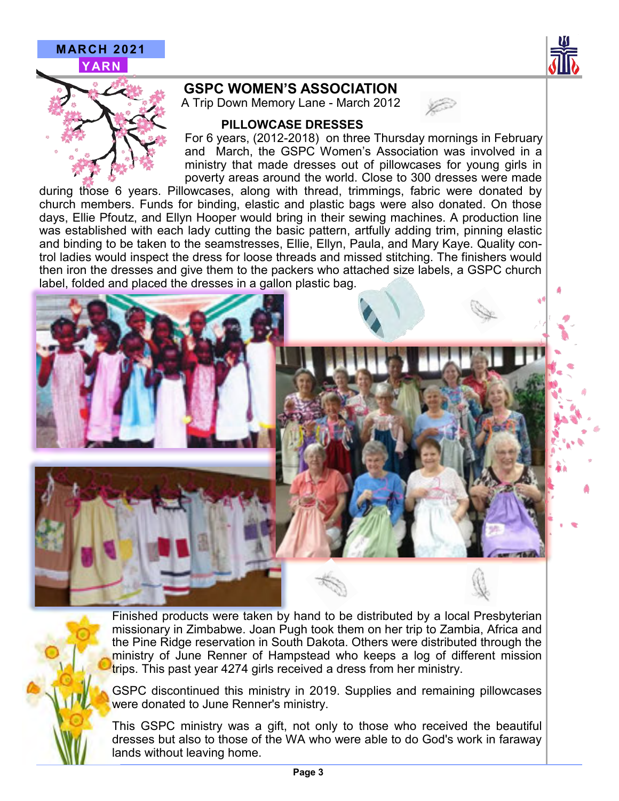

### **GSPC WOMEN'S ASSOCIATION**

A Trip Down Memory Lane - March 2012



#### **PILLOWCASE DRESSES**

For 6 years, (2012-2018) on three Thursday mornings in February and March, the GSPC Women's Association was involved in a ministry that made dresses out of pillowcases for young girls in poverty areas around the world. Close to 300 dresses were made

during those 6 years. Pillowcases, along with thread, trimmings, fabric were donated by church members. Funds for binding, elastic and plastic bags were also donated. On those days, Ellie Pfoutz, and Ellyn Hooper would bring in their sewing machines. A production line was established with each lady cutting the basic pattern, artfully adding trim, pinning elastic and binding to be taken to the seamstresses, Ellie, Ellyn, Paula, and Mary Kaye. Quality control ladies would inspect the dress for loose threads and missed stitching. The finishers would then iron the dresses and give them to the packers who attached size labels, a GSPC church label, folded and placed the dresses in a gallon plastic bag.





Finished products were taken by hand to be distributed by a local Presbyterian missionary in Zimbabwe. Joan Pugh took them on her trip to Zambia, Africa and the Pine Ridge reservation in South Dakota. Others were distributed through the ministry of June Renner of Hampstead who keeps a log of different mission trips. This past year 4274 girls received a dress from her ministry.

GSPC discontinued this ministry in 2019. Supplies and remaining pillowcases were donated to June Renner's ministry.

This GSPC ministry was a gift, not only to those who received the beautiful dresses but also to those of the WA who were able to do God's work in faraway lands without leaving home.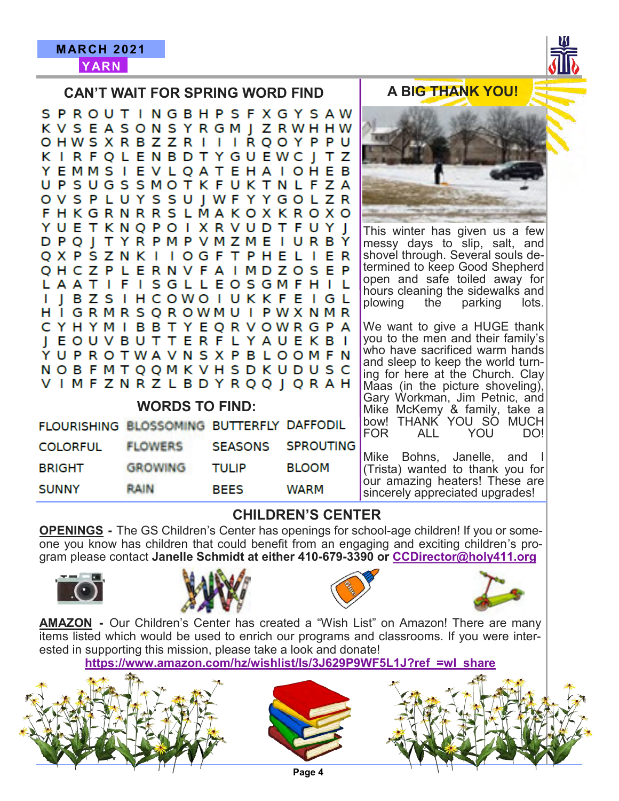

|                                           | <b>CAN'T WAIT FOR SPRING WORD FIND</b>                                                                                                                                                                                                                                                                                                                                                                                                               | <b>A BIG THANK YOU!</b>                                       |                  |                                                                                                                                                                                                                                                                                                                                                                                                                                                                 |
|-------------------------------------------|------------------------------------------------------------------------------------------------------------------------------------------------------------------------------------------------------------------------------------------------------------------------------------------------------------------------------------------------------------------------------------------------------------------------------------------------------|---------------------------------------------------------------|------------------|-----------------------------------------------------------------------------------------------------------------------------------------------------------------------------------------------------------------------------------------------------------------------------------------------------------------------------------------------------------------------------------------------------------------------------------------------------------------|
|                                           | S P R O U T I N G B H P S F X G Y S A W<br>K V S E A S O N S Y R G M J Z R W H H W<br>OHWSXRBZZRIIIRQOYPPU<br>K I R F Q L E N B D T Y G U E W C J T Z<br>Y E M M S I E V L Q A T E H A I O H E B<br>UPSUGSSMOTKFUKTNLFZA<br>O V S P L U Y S S U J W F Y Y G O L Z R<br><b>FHKGRNRRSLMAKOXKROXO</b>                                                                                                                                                   |                                                               |                  |                                                                                                                                                                                                                                                                                                                                                                                                                                                                 |
|                                           | Y U E T K N Q P O I X R V U D T F U Y J<br>D P Q J T Y R P M P V M Z M E I U R B Y<br>QXPSZNKIIOGFTPHELIER<br>Q H C Z P L E R N V F A I M D Z O S E P<br>L A A T I F I S G L L E O S G M F H I L<br>I J B Z S I H C O W O I U K K F E I G L<br>HIGRMRSQROWMUIPWXNMR<br>CYHYMIBBTYEQRVOWRGPA<br>J E O U V B U T T E R F L Y A U E K B I<br>Y U P R O T W A V N S X P B L O O M F N<br>NOBFMTQQMKVHSDKUDUSC<br>V I M F Z N R Z L B D Y R Q Q J Q R A H |                                                               |                  | This winter has given us a few<br>messy days to slip, salt, and<br>shovel through. Several souls de-<br>termined to keep Good Shepherd<br>open and safe toiled away for<br>hours cleaning the sidewalks and<br>plowing the parking<br>lots.<br>We want to give a HUGE thank<br>you to the men and their family's<br>who have sacrificed warm hands<br>and sleep to keep the world turn-<br>ing for here at the Church. Clay<br>Maas (in the picture shoveling), |
|                                           | <b>WORDS TO FIND:</b>                                                                                                                                                                                                                                                                                                                                                                                                                                | Gary Workman, Jim Petnic, and<br>Mike McKemy & family, take a |                  |                                                                                                                                                                                                                                                                                                                                                                                                                                                                 |
| FLOURISHING BLOSSOMING BUTTERFLY DAFFODIL |                                                                                                                                                                                                                                                                                                                                                                                                                                                      |                                                               |                  | bow! THANK YOU SO MUCH<br>FOR<br>ALL YOU<br>DO!                                                                                                                                                                                                                                                                                                                                                                                                                 |
| <b>COLORFUL</b>                           | <b>FLOWERS</b>                                                                                                                                                                                                                                                                                                                                                                                                                                       | <b>SEASONS</b>                                                | <b>SPROUTING</b> |                                                                                                                                                                                                                                                                                                                                                                                                                                                                 |
| <b>BRIGHT</b>                             | <b>GROWING</b>                                                                                                                                                                                                                                                                                                                                                                                                                                       | <b>TULIP</b>                                                  | <b>BLOOM</b>     | Mike Bohns, Janelle, and I<br>(Trista) wanted to thank you for                                                                                                                                                                                                                                                                                                                                                                                                  |
| <b>SUNNY</b>                              | <b>RAIN</b>                                                                                                                                                                                                                                                                                                                                                                                                                                          | <b>BEES</b>                                                   | <b>WARM</b>      | our amazing heaters! These are<br>sincerely appreciated upgrades!                                                                                                                                                                                                                                                                                                                                                                                               |

#### **CHILDREN'S CENTER**

**OPENINGS -** The GS Children's Center has openings for school-age children! If you or someone you know has children that could benefit from an engaging and exciting children's program please contact **Janelle Schmidt at either 410-679-3390 or CCDirector@holy411.org**









**AMAZON -** Our Children's Center has created a "Wish List" on Amazon! There are many items listed which would be used to enrich our programs and classrooms. If you were interested in supporting this mission, please take a look and donate!

**https://www.amazon.com/hz/wishlist/ls/3J629P9WF5L1J?ref\_=wl\_share**



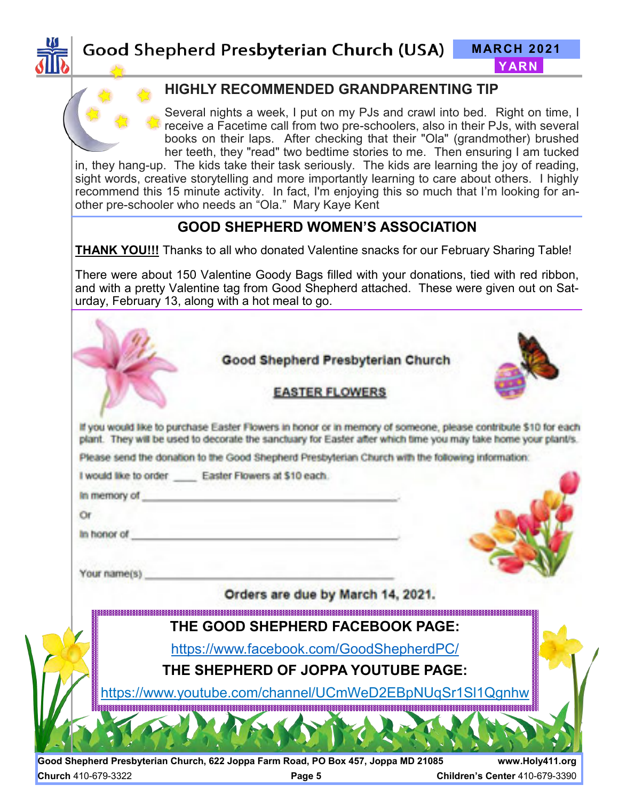



#### **HIGHLY RECOMMENDED GRANDPARENTING TIP**

Several nights a week, I put on my PJs and crawl into bed. Right on time, I receive a Facetime call from two pre-schoolers, also in their PJs, with several books on their laps. After checking that their "Ola" (grandmother) brushed her teeth, they "read" two bedtime stories to me. Then ensuring I am tucked

in, they hang-up. The kids take their task seriously. The kids are learning the joy of reading, sight words, creative storytelling and more importantly learning to care about others. I highly recommend this 15 minute activity. In fact, I'm enjoying this so much that I'm looking for another pre-schooler who needs an "Ola." Mary Kaye Kent

#### **GOOD SHEPHERD WOMEN'S ASSOCIATION**

**THANK YOU!!!** Thanks to all who donated Valentine snacks for our February Sharing Table!

There were about 150 Valentine Goody Bags filled with your donations, tied with red ribbon, and with a pretty Valentine tag from Good Shepherd attached. These were given out on Saturday, February 13, along with a hot meal to go.

| <b>EASTER FLOWERS</b><br>If you would like to purchase Easter Flowers in honor or in memory of someone, please contribute \$10 for each<br>plant. They will be used to decorate the sanctuary for Easter after which time you may take home your plant/s.<br>Please send the donation to the Good Shepherd Presbyterian Church with the following information:<br>I would like to order Easter Flowers at \$10 each.<br>In memory of<br>Or<br>In honor of<br>Your name(s)<br>Orders are due by March 14, 2021.<br>THE GOOD SHEPHERD FACEBOOK PAGE:<br>https://www.facebook.com/GoodShepherdPC/<br>THE SHEPHERD OF JOPPA YOUTUBE PAGE:<br>https://www.youtube.com/channel/UCmWeD2EBpNUqSr1SI1Qgnhw | Good Shepherd Presbyterian Church |  |
|---------------------------------------------------------------------------------------------------------------------------------------------------------------------------------------------------------------------------------------------------------------------------------------------------------------------------------------------------------------------------------------------------------------------------------------------------------------------------------------------------------------------------------------------------------------------------------------------------------------------------------------------------------------------------------------------------|-----------------------------------|--|
|                                                                                                                                                                                                                                                                                                                                                                                                                                                                                                                                                                                                                                                                                                   |                                   |  |
|                                                                                                                                                                                                                                                                                                                                                                                                                                                                                                                                                                                                                                                                                                   |                                   |  |
|                                                                                                                                                                                                                                                                                                                                                                                                                                                                                                                                                                                                                                                                                                   |                                   |  |
|                                                                                                                                                                                                                                                                                                                                                                                                                                                                                                                                                                                                                                                                                                   |                                   |  |
|                                                                                                                                                                                                                                                                                                                                                                                                                                                                                                                                                                                                                                                                                                   |                                   |  |
|                                                                                                                                                                                                                                                                                                                                                                                                                                                                                                                                                                                                                                                                                                   |                                   |  |
|                                                                                                                                                                                                                                                                                                                                                                                                                                                                                                                                                                                                                                                                                                   |                                   |  |
|                                                                                                                                                                                                                                                                                                                                                                                                                                                                                                                                                                                                                                                                                                   |                                   |  |
|                                                                                                                                                                                                                                                                                                                                                                                                                                                                                                                                                                                                                                                                                                   |                                   |  |
|                                                                                                                                                                                                                                                                                                                                                                                                                                                                                                                                                                                                                                                                                                   |                                   |  |
|                                                                                                                                                                                                                                                                                                                                                                                                                                                                                                                                                                                                                                                                                                   |                                   |  |
|                                                                                                                                                                                                                                                                                                                                                                                                                                                                                                                                                                                                                                                                                                   |                                   |  |
|                                                                                                                                                                                                                                                                                                                                                                                                                                                                                                                                                                                                                                                                                                   |                                   |  |
|                                                                                                                                                                                                                                                                                                                                                                                                                                                                                                                                                                                                                                                                                                   |                                   |  |
|                                                                                                                                                                                                                                                                                                                                                                                                                                                                                                                                                                                                                                                                                                   |                                   |  |
|                                                                                                                                                                                                                                                                                                                                                                                                                                                                                                                                                                                                                                                                                                   |                                   |  |

**Good Shepherd Presbyterian Church, 622 Joppa Farm Road, PO Box 457, Joppa MD 21085 www.Holy411.org Church** 410-679-3322 **Page 5 Children's Center** 410-679-3390